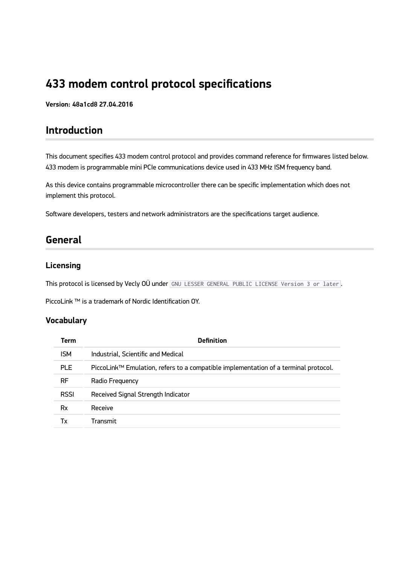# **433 modem control protocol specifications**

**Version: 48a1cd8 27.04.2016**

### **Introduction**

This document specifies 433 modem control protocol and provides command reference for firmwares listed below. 433 modem is programmable mini PCIe communications device used in 433 MHz ISM frequency band.

As this device contains programmable microcontroller there can be specific implementation which does not implement this protocol.

Software developers, testers and network administrators are the specifications target audience.

### **General**

#### **Licensing**

This protocol is licensed by Vecly OÜ under GNU LESSER GENERAL PUBLIC LICENSE Version 3 or later.

PiccoLink ™ is a trademark of Nordic Identification OY.

#### **Vocabulary**

| Term        | <b>Definition</b>                                                                   |  |  |
|-------------|-------------------------------------------------------------------------------------|--|--|
| <b>ISM</b>  | Industrial, Scientific and Medical                                                  |  |  |
| PLE.        | PiccoLink™ Emulation, refers to a compatible implementation of a terminal protocol. |  |  |
| <b>RF</b>   | Radio Freguency                                                                     |  |  |
| <b>RSSI</b> | Received Signal Strength Indicator                                                  |  |  |
| Rx          | Receive                                                                             |  |  |
| Тx          | Transmit                                                                            |  |  |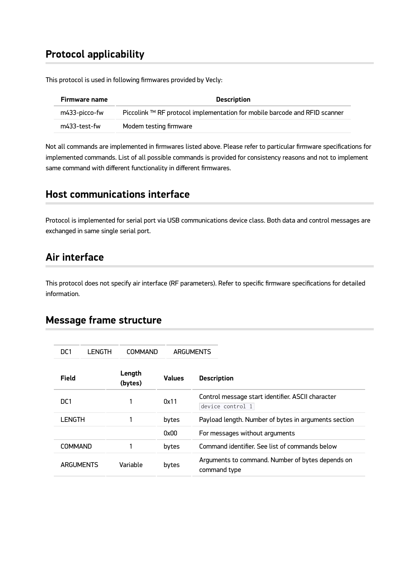### **Protocol applicability**

This protocol is used in following firmwares provided by Vecly:

| Firmware name | <b>Description</b>                                                         |
|---------------|----------------------------------------------------------------------------|
| m433-picco-fw | Piccolink ™ RF protocol implementation for mobile barcode and RFID scanner |
| m433-test-fw  | Modem testing firmware                                                     |

Not all commands are implemented in firmwares listed above. Please refer to particular firmware specifications for implemented commands. List of all possible commands is provided for consistency reasons and not to implement same command with different functionality in different firmwares.

### **Host communications interface**

Protocol is implemented for serial port via USB communications device class. Both data and control messages are exchanged in same single serial port.

#### **Air interface**

This protocol does not specify air interface (RF parameters). Refer to specific firmware specifications for detailed information.

#### **Message frame structure**

| DC <sub>1</sub> | LENGTH | <b>COMMAND</b>    |               | ARGUMENTS                                                             |
|-----------------|--------|-------------------|---------------|-----------------------------------------------------------------------|
| Field           |        | Length<br>(bytes) | <b>Values</b> | <b>Description</b>                                                    |
| DC <sub>1</sub> |        |                   | 0x11          | Control message start identifier. ASCII character<br>device control 1 |
| LENGTH          |        |                   | bytes         | Payload length. Number of bytes in arguments section                  |
|                 |        |                   | 0x00          | For messages without arguments                                        |
| <b>COMMAND</b>  |        |                   | bytes         | Command identifier. See list of commands below                        |
| ARGUMENTS       |        | Variable          | bytes         | Arguments to command. Number of bytes depends on<br>command type      |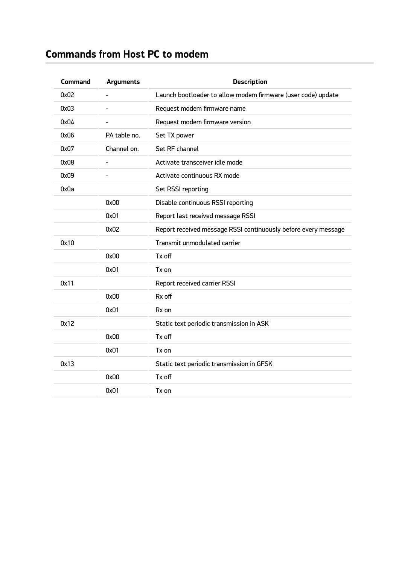# **Commands from Host PC to modem**

| <b>Command</b> | <b>Arguments</b>         | <b>Description</b>                                             |
|----------------|--------------------------|----------------------------------------------------------------|
| 0x02           | $\overline{\phantom{a}}$ | Launch bootloader to allow modem firmware (user code) update   |
| 0x03           |                          | Request modem firmware name                                    |
| 0x04           | $\blacksquare$           | Request modem firmware version                                 |
| 0x06           | PA table no.             | Set TX power                                                   |
| 0x07           | Channel on.              | Set RF channel                                                 |
| 0x08           |                          | Activate transceiver idle mode                                 |
| 0x09           |                          | Activate continuous RX mode                                    |
| 0x0a           |                          | Set RSSI reporting                                             |
|                | 0x00                     | Disable continuous RSSI reporting                              |
|                | 0x01                     | Report last received message RSSI                              |
|                | 0x02                     | Report received message RSSI continuously before every message |
| 0x10           |                          | Transmit unmodulated carrier                                   |
|                | 0x00                     | Tx off                                                         |
|                | 0x01                     | Tx on                                                          |
| 0x11           |                          | Report received carrier RSSI                                   |
|                | 0x00                     | Rx off                                                         |
|                | 0x01                     | Rx on                                                          |
| 0x12           |                          | Static text periodic transmission in ASK                       |
|                | 0x00                     | Tx off                                                         |
|                | 0x01                     | Tx on                                                          |
| 0x13           |                          | Static text periodic transmission in GFSK                      |
|                | 0x00                     | Tx off                                                         |
|                | 0x01                     | Tx on                                                          |